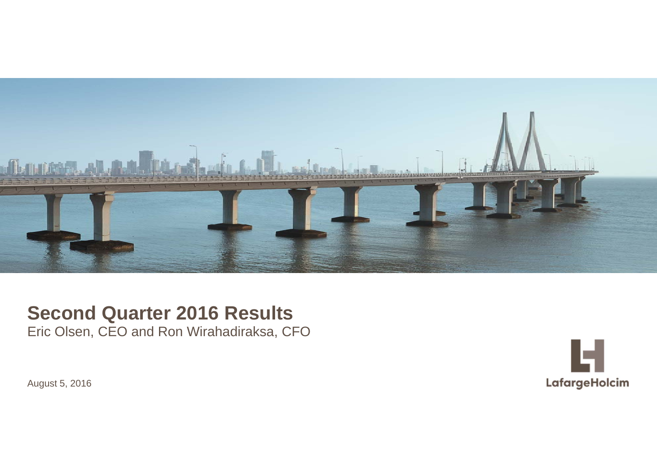

#### **Second Quarter 2016 Results**

Eric Olsen, CEO and Ron Wirahadiraksa, CFO



August 5, 2016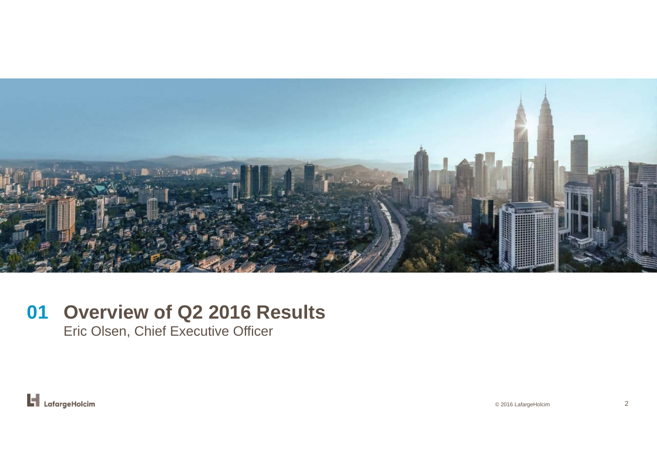

#### **Overview of Q2 2016 Results 01**

Eric Olsen, Chief Executive Officer

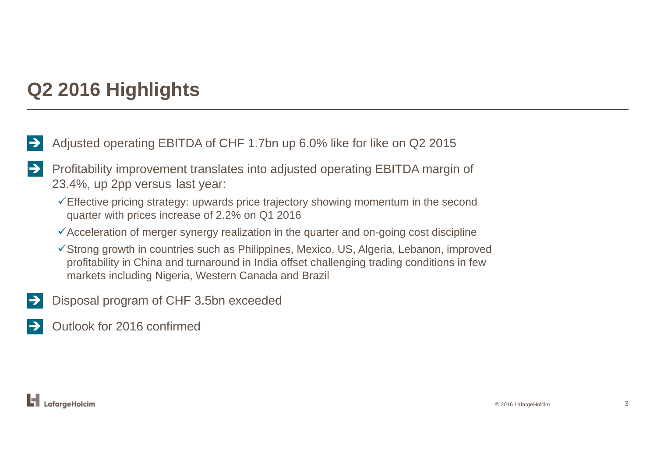# **Q2 2016 Highlights**

- $\rightarrow$ Adjusted operating EBITDA of CHF 1.7bn up 6.0% like for like on Q2 2015
- $\rightarrow$  Profitability improvement translates into adjusted operating EBITDA margin of 23.4%, up 2pp versus last year:
	- $\checkmark$  Effective pricing strategy: upwards price trajectory showing momentum in the second quarter with prices increase of 2.2% on Q1 2016
	- $\checkmark$  Acceleration of merger synergy realization in the quarter and on-going cost discipline
	- $\checkmark$  Strong growth in countries such as Philippines, Mexico, US, Algeria, Lebanon, improved profitability in China and turnaround in India offset challenging trading conditions in few markets including Nigeria, Western Canada and Brazil
- $\rightarrow$ Disposal program of CHF 3.5bn exceeded
- $\rightarrow$ Outlook for 2016 confirmed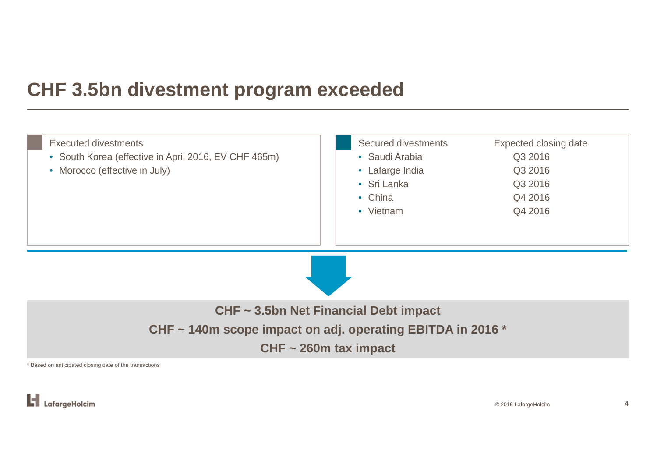#### **CHF 3.5bn divestment program exceeded**



H LafargeHolcim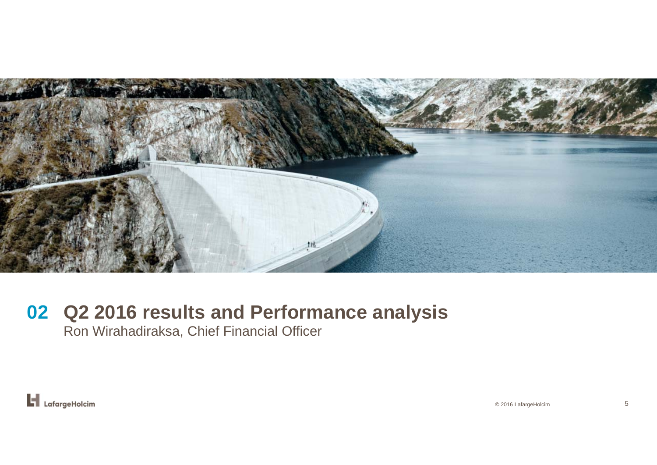

#### **Q2 2016 results and Performance analysis 02**

Ron Wirahadiraksa, Chief Financial Officer

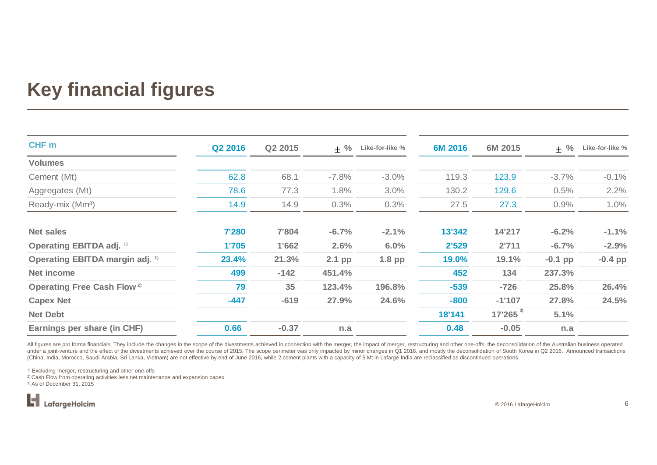### **Key financial figures**

| CHF m                                         | Q2 2016 | Q2 2015 | $+ \frac{9}{6}$ | Like-for-like % | 6M 2016 | 6M 2015      | $+ \frac{9}{6}$ | Like-for-like % |
|-----------------------------------------------|---------|---------|-----------------|-----------------|---------|--------------|-----------------|-----------------|
| <b>Volumes</b>                                |         |         |                 |                 |         |              |                 |                 |
| Cement (Mt)                                   | 62.8    | 68.1    | $-7.8%$         | $-3.0%$         | 119.3   | 123.9        | $-3.7%$         | $-0.1%$         |
| Aggregates (Mt)                               | 78.6    | 77.3    | 1.8%            | 3.0%            | 130.2   | 129.6        | 0.5%            | 2.2%            |
| Ready-mix (Mm <sup>3</sup> )                  | 14.9    | 14.9    | 0.3%            | 0.3%            | 27.5    | 27.3         | 0.9%            | 1.0%            |
| <b>Net sales</b>                              | 7'280   | 7'804   | $-6.7%$         | $-2.1%$         | 13'342  | 14'217       | $-6.2%$         | $-1.1%$         |
| Operating EBITDA adj. <sup>1)</sup>           | 1'705   | 1'662   | 2.6%            | 6.0%            | 2'529   | 2'711        | $-6.7%$         | $-2.9%$         |
| Operating EBITDA margin adj. <sup>1)</sup>    | 23.4%   | 21.3%   | $2.1$ pp        | $1.8$ pp        | 19.0%   | 19.1%        | $-0.1$ pp       | $-0.4$ pp       |
| Net income                                    | 499     | $-142$  | 451.4%          |                 | 452     | 134          | 237.3%          |                 |
| <b>Operating Free Cash Flow</b> <sup>2)</sup> | 79      | 35      | 123.4%          | 196.8%          | $-539$  | $-726$       | 25.8%           | 26.4%           |
| <b>Capex Net</b>                              | $-447$  | $-619$  | 27.9%           | 24.6%           | $-800$  | $-1'107$     | 27.8%           | 24.5%           |
| <b>Net Debt</b>                               |         |         |                 |                 | 18'141  | $17'265^{3}$ | 5.1%            |                 |
| Earnings per share (in CHF)                   | 0.66    | $-0.37$ | n.a             |                 | 0.48    | $-0.05$      | n.a             |                 |

All figures are pro forma financials. They include the changes in the scope of the divestments achieved in connection with the merger, the impact of merger, restructuring and other one-offs, the deconsolidation of the Aust under a joint-venture and the effect of the divestments achieved over the course of 2015. The scope perimeter was only impacted by minor changes in Q1 2016, and mostly the deconsolidation of South Korea in Q2 2016. Announc (China, India, Morocco, Saudi Arabia, Sri Lanka, Vietnam) are not effective by end of June 2016, while 2 cement plants with a capacity of 5 Mt in Lafarge India are reclassified as discontinued operations.

1) Excluding merger, restructuring and other one-offs

<sup>2)</sup> Cash Flow from operating activities less net maintenance and expansion capex

3) As of December 31, 2015

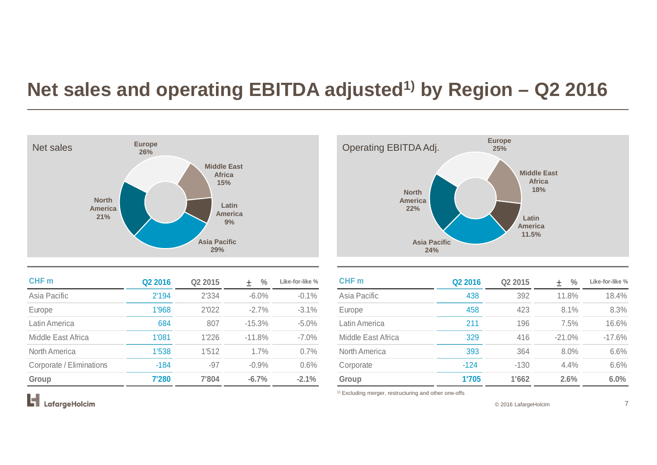# **Net sales and operating EBITDA adjusted1) by Region – Q2 2016**



| CHF <sub>m</sub>         | Q <sub>2</sub> 2016 | Q <sub>2</sub> 2015 | $\frac{0}{0}$<br>$\pm$ | Like-for-like % |
|--------------------------|---------------------|---------------------|------------------------|-----------------|
| Asia Pacific             | 2'194               | 2'334               | $-6.0\%$               | $-0.1%$         |
| Europe                   | 1'968               | 2'022               | $-2.7\%$               | $-3.1\%$        |
| Latin America            | 684                 | 807                 | $-15.3%$               | $-5.0%$         |
| Middle East Africa       | 1'081               | 1'226               | $-11.8%$               | $-7.0\%$        |
| North America            | 1'538               | 1'512               | 1.7%                   | 0.7%            |
| Corporate / Eliminations | $-184$              | $-97$               | $-0.9%$                | 0.6%            |
| <b>Group</b>             | 7'280               | 7'804               | $-6.7%$                | $-2.1%$         |



| $\frac{0}{0}$<br>$\pm$ | Like-for-like % | CHF <sub>m</sub>   | Q <sub>2</sub> 2016 | Q <sub>2</sub> 2015 | $\frac{0}{0}$<br>$+$ | Like-for-like % |
|------------------------|-----------------|--------------------|---------------------|---------------------|----------------------|-----------------|
| $-6.0\%$               | $-0.1%$         | Asia Pacific       | 438                 | 392                 | 11.8%                | 18.4%           |
| $-2.7%$                | $-3.1%$         | Europe             | 458                 | 423                 | 8.1%                 | 8.3%            |
| $-15.3\%$              | $-5.0%$         | Latin America      | 211                 | 196                 | 7.5%                 | 16.6%           |
| 11.8%                  | $-7.0\%$        | Middle East Africa | 329                 | 416                 | $-21.0\%$            | $-17.6%$        |
| 1.7%                   | 0.7%            | North America      | 393                 | 364                 | 8.0%                 | 6.6%            |
| $-0.9%$                | 0.6%            | Corporate          | $-124$              | $-130$              | 4.4%                 | 6.6%            |
| $-6.7%$                | $-2.1%$         | Group              | 1'705               | 1'662               | 2.6%                 | 6.0%            |

<sup>1)</sup> Excluding merger, restructuring and other one-offs

H LafargeHolcim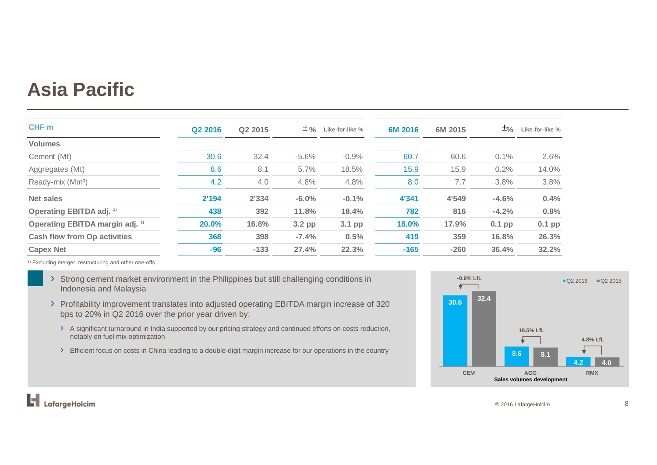# **Asia Pacific**

| CHF m                                      | Q2 2016 | Q2 2015 | $\pm \frac{9}{6}$ | Like-for-like % | 6M 2016 | 6M 2015 | $\pm\frac{0}{2}$ | Like-for-like % |
|--------------------------------------------|---------|---------|-------------------|-----------------|---------|---------|------------------|-----------------|
| <b>Volumes</b>                             |         |         |                   |                 |         |         |                  |                 |
| Cement (Mt)                                | 30.6    | 32.4    | $-5.6%$           | $-0.9%$         | 60.7    | 60.6    | 0.1%             | 2.6%            |
| Aggregates (Mt)                            | 8.6     | 8.1     | 5.7%              | 18.5%           | 15.9    | 15.9    | 0.2%             | 14.0%           |
| Ready-mix (Mm <sup>3</sup> )               | 4.2     | 4.0     | 4.8%              | 4.8%            | 8.0     | 7.7     | 3.8%             | 3.8%            |
| <b>Net sales</b>                           | 2'194   | 2'334   | $-6.0%$           | $-0.1%$         | 4'341   | 4'549   | $-4.6%$          | 0.4%            |
| Operating EBITDA adj. <sup>1)</sup>        | 438     | 392     | 11.8%             | 18.4%           | 782     | 816     | $-4.2%$          | 0.8%            |
| Operating EBITDA margin adj. <sup>1)</sup> | 20.0%   | 16.8%   | 3.2 pp            | 3.1 pp          | 18.0%   | 17.9%   | $0.1$ pp         | $0.1$ pp        |
| <b>Cash flow from Op activities</b>        | 368     | 398     | $-7.4%$           | 0.5%            | 419     | 359     | 16.8%            | 26.3%           |
| <b>Capex Net</b>                           | $-96$   | $-133$  | 27.4%             | 22.3%           | $-165$  | $-260$  | 36.4%            | 32.2%           |

1) Excluding merger, restructuring and other one-offs

Ы

LafargeHolcim

- ›Strong cement market environment in the Philippines but still challenging conditions in **COLUM** -0.9% LfL CO2 2016 Q2 2015 Indonesia and Malaysia
- › Profitability improvement translates into adjusted operating EBITDA margin increase of 320 bps to 20% in Q2 2016 over the prior year driven by:
	- › A significant turnaround in India supported by our pricing strategy and continued efforts on costs reduction, notably on fuel mix optimization
	- › Efficient focus on costs in China leading to a double-digit margin increase for our operations in the country

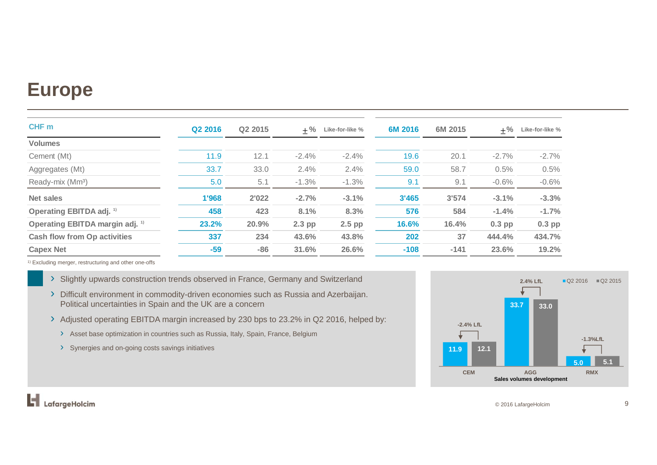### **Europe**

| CHF m                                      | Q2 2016 | Q2 2015 | $+ \%$   | Like-for-like % | 6M 2016 | 6M 2015 | $+$ %    | Like-for-like % |
|--------------------------------------------|---------|---------|----------|-----------------|---------|---------|----------|-----------------|
| <b>Volumes</b>                             |         |         |          |                 |         |         |          |                 |
| Cement (Mt)                                | 11.9    | 12.1    | $-2.4%$  | $-2.4%$         | 19.6    | 20.1    | $-2.7%$  | $-2.7%$         |
| Aggregates (Mt)                            | 33.7    | 33.0    | 2.4%     | 2.4%            | 59.0    | 58.7    | 0.5%     | 0.5%            |
| Ready-mix (Mm <sup>3</sup> )               | 5.0     | 5.1     | $-1.3%$  | $-1.3%$         | 9.1     | 9.1     | $-0.6%$  | $-0.6%$         |
| <b>Net sales</b>                           | 1'968   | 2'022   | $-2.7%$  | $-3.1%$         | 3'465   | 3'574   | $-3.1%$  | $-3.3%$         |
| Operating EBITDA adj. <sup>1)</sup>        | 458     | 423     | 8.1%     | 8.3%            | 576     | 584     | $-1.4%$  | $-1.7%$         |
| Operating EBITDA margin adj. <sup>1)</sup> | 23.2%   | 20.9%   | $2.3$ pp | $2.5$ pp        | 16.6%   | 16.4%   | $0.3$ pp | $0.3$ pp        |
| <b>Cash flow from Op activities</b>        | 337     | 234     | 43.6%    | 43.8%           | 202     | 37      | 444.4%   | 434.7%          |
| <b>Capex Net</b>                           | $-59$   | $-86$   | 31.6%    | 26.6%           | $-108$  | $-141$  | 23.6%    | 19.2%           |

1) Excluding merger, restructuring and other one-offs

- ›Slightly upwards construction trends observed in France, Germany and Switzerland
- › Difficult environment in commodity-driven economies such as Russia and Azerbaijan. Political uncertainties in Spain and the UK are a concern
- › Adjusted operating EBITDA margin increased by 230 bps to 23.2% in Q2 2016, helped by:
	- › Asset base optimization in countries such as Russia, Italy, Spain, France, Belgium
	- › Synergies and on-going costs savings initiatives

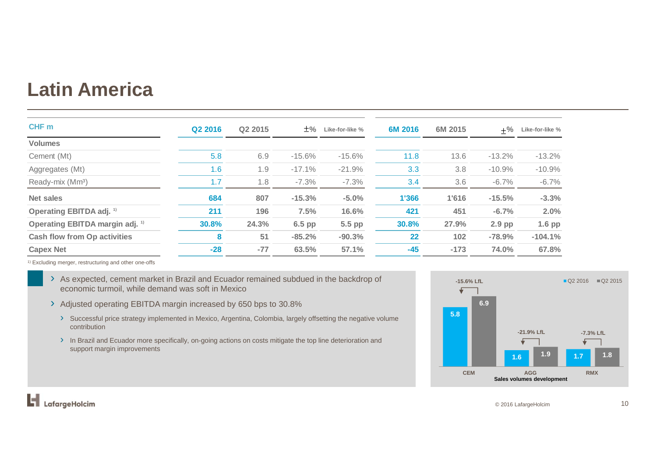### **Latin America**

| CHF m                                      | Q2 2016 | Q2 2015 | $\pm\%$  | Like-for-like % | 6M 2016 | 6M 2015 | $+$ %    | Like-for-like % |
|--------------------------------------------|---------|---------|----------|-----------------|---------|---------|----------|-----------------|
| <b>Volumes</b>                             |         |         |          |                 |         |         |          |                 |
| Cement (Mt)                                | 5.8     | 6.9     | $-15.6%$ | $-15.6%$        | 11.8    | 13.6    | $-13.2%$ | $-13.2%$        |
| Aggregates (Mt)                            | 1.6     | 1.9     | $-17.1%$ | $-21.9%$        | 3.3     | 3.8     | $-10.9%$ | $-10.9%$        |
| Ready-mix (Mm <sup>3</sup> )               | 1.7     | 1.8     | $-7.3%$  | $-7.3%$         | 3.4     | 3.6     | $-6.7%$  | $-6.7\%$        |
| Net sales                                  | 684     | 807     | $-15.3%$ | $-5.0%$         | 1'366   | 1'616   | $-15.5%$ | $-3.3%$         |
| Operating EBITDA adj. <sup>1)</sup>        | 211     | 196     | 7.5%     | 16.6%           | 421     | 451     | $-6.7%$  | 2.0%            |
| Operating EBITDA margin adj. <sup>1)</sup> | 30.8%   | 24.3%   | $6.5$ pp | 5.5 pp          | 30.8%   | 27.9%   | $2.9$ pp | $1.6$ pp        |
| <b>Cash flow from Op activities</b>        | 8       | 51      | $-85.2%$ | $-90.3%$        | 22      | 102     | $-78.9%$ | $-104.1%$       |
| <b>Capex Net</b>                           | $-28$   | $-77$   | 63.5%    | 57.1%           | $-45$   | $-173$  | 74.0%    | 67.8%           |

1) Excluding merger, restructuring and other one-offs

 $\begin{bmatrix} \blacksquare \\ \blacksquare \end{bmatrix}$  LafargeHolcim

- If As expected, cement market in Brazil and Ecuador remained subdued in the backdrop of  $\frac{1}{15.6\%}$   $\frac{1}{10.22}$   $\frac{1}{20.22015}$   $\frac{1}{20.22015}$ economic turmoil, while demand was soft in Mexico
- › Adjusted operating EBITDA margin increased by 650 bps to 30.8%
	- › Successful price strategy implemented in Mexico, Argentina, Colombia, largely offsetting the negative volume contribution
	- › In Brazil and Ecuador more specifically, on-going actions on costs mitigate the top line deterioration and support margin improvements

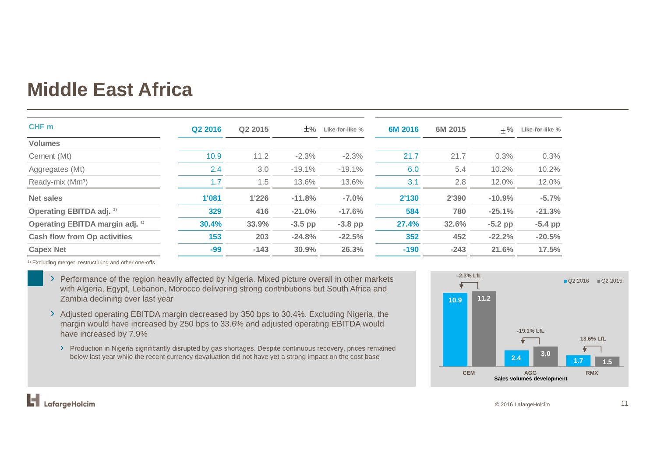## **Middle East Africa**

| CHF m                                      | Q2 2016 | Q2 2015 | $\pm\%$   | Like-for-like % | 6M 2016 | 6M 2015 | $+$ %     | Like-for-like % |
|--------------------------------------------|---------|---------|-----------|-----------------|---------|---------|-----------|-----------------|
| <b>Volumes</b>                             |         |         |           |                 |         |         |           |                 |
| Cement (Mt)                                | 10.9    | 11.2    | $-2.3%$   | $-2.3%$         | 21.7    | 21.7    | 0.3%      | 0.3%            |
| Aggregates (Mt)                            | 2.4     | 3.0     | $-19.1%$  | $-19.1%$        | 6.0     | 5.4     | 10.2%     | 10.2%           |
| Ready-mix (Mm <sup>3</sup> )               | 1.7     | 1.5     | 13.6%     | 13.6%           | 3.1     | 2.8     | 12.0%     | 12.0%           |
| <b>Net sales</b>                           | 1'081   | 1'226   | $-11.8%$  | $-7.0\%$        | 2'130   | 2'390   | $-10.9%$  | $-5.7%$         |
| Operating EBITDA adj. <sup>1)</sup>        | 329     | 416     | $-21.0%$  | $-17.6%$        | 584     | 780     | $-25.1%$  | $-21.3%$        |
| Operating EBITDA margin adj. <sup>1)</sup> | 30.4%   | 33.9%   | $-3.5$ pp | $-3.8$ pp       | 27.4%   | 32.6%   | $-5.2$ pp | $-5.4$ pp       |
| <b>Cash flow from Op activities</b>        | 153     | 203     | $-24.8%$  | $-22.5%$        | 352     | 452     | $-22.2%$  | $-20.5%$        |
| <b>Capex Net</b>                           | $-99$   | $-143$  | 30.9%     | 26.3%           | $-190$  | $-243$  | 21.6%     | 17.5%           |

1) Excluding merger, restructuring and other one-offs

ы

LafargeHolcim

- ›Performance of the region heavily affected by Nigeria. Mixed picture overall in other markets  $\sqrt{2.3\% Lf}$ with Algeria, Egypt, Lebanon, Morocco delivering strong contributions but South Africa and Zambia declining over last year
- › Adjusted operating EBITDA margin decreased by 350 bps to 30.4%. Excluding Nigeria, the margin would have increased by 250 bps to 33.6% and adjusted operating EBITDA would have increased by 7.9%
	- › Production in Nigeria significantly disrupted by gas shortages. Despite continuous recovery, prices remained below last year while the recent currency devaluation did not have yet a strong impact on the cost base

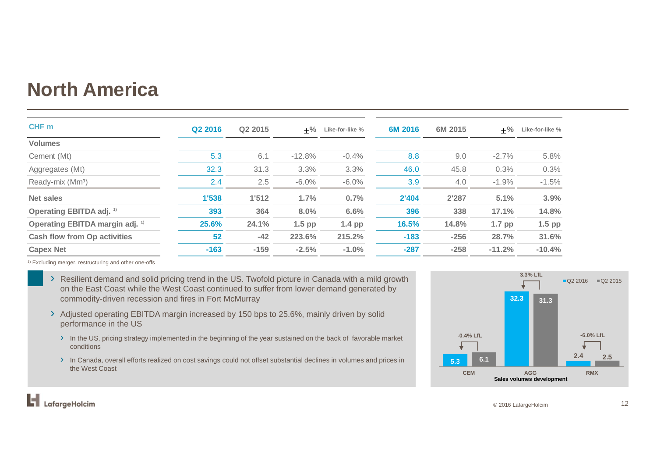## **North America**

| CHF m                                      | Q2 2016 | Q2 2015 | $+$ %    | Like-for-like % | 6M 2016 | 6M 2015 | $+$ %    | Like-for-like % |
|--------------------------------------------|---------|---------|----------|-----------------|---------|---------|----------|-----------------|
| <b>Volumes</b>                             |         |         |          |                 |         |         |          |                 |
| Cement (Mt)                                | 5.3     | 6.1     | $-12.8%$ | $-0.4%$         | 8.8     | 9.0     | $-2.7%$  | 5.8%            |
| Aggregates (Mt)                            | 32.3    | 31.3    | 3.3%     | 3.3%            | 46.0    | 45.8    | 0.3%     | 0.3%            |
| Ready-mix (Mm <sup>3</sup> )               | 2.4     | 2.5     | $-6.0\%$ | $-6.0\%$        | 3.9     | 4.0     | $-1.9%$  | $-1.5%$         |
| <b>Net sales</b>                           | 1'538   | 1'512   | 1.7%     | 0.7%            | 2'404   | 2'287   | 5.1%     | 3.9%            |
| Operating EBITDA adj. <sup>1)</sup>        | 393     | 364     | 8.0%     | 6.6%            | 396     | 338     | 17.1%    | 14.8%           |
| Operating EBITDA margin adj. <sup>1)</sup> | 25.6%   | 24.1%   | $1.5$ pp | $1.4$ pp        | 16.5%   | 14.8%   | $1.7$ pp | $1.5$ pp        |
| <b>Cash flow from Op activities</b>        | 52      | $-42$   | 223.6%   | 215.2%          | $-183$  | $-256$  | 28.7%    | 31.6%           |
| <b>Capex Net</b>                           | $-163$  | $-159$  | $-2.5%$  | $-1.0%$         | $-287$  | $-258$  | $-11.2%$ | $-10.4%$        |

1) Excluding merger, restructuring and other one-offs

ы

LafargeHolcim

- ›Resilient demand and solid pricing trend in the US. Twofold picture in Canada with a mild growth BC 2000 Q2 2016 Q2 2016 Q2 2015 on the East Coast while the West Coast continued to suffer from lower demand generated by commodity-driven recession and fires in Fort McMurray
- › Adjusted operating EBITDA margin increased by 150 bps to 25.6%, mainly driven by solid performance in the US
	- › In the US, pricing strategy implemented in the beginning of the year sustained on the back of favorable market conditions
	- › In Canada, overall efforts realized on cost savings could not offset substantial declines in volumes and prices in the West Coast

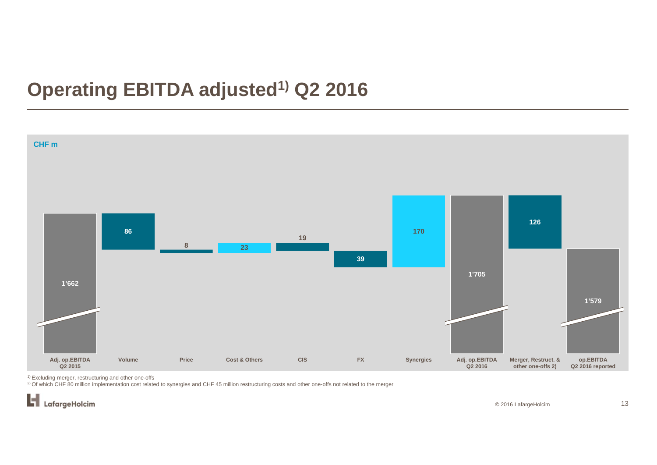# **Operating EBITDA adjusted1) Q2 2016**



1) Excluding merger, restructuring and other one-offs

2) Of which CHF 80 million implementation cost related to synergies and CHF 45 million restructuring costs and other one-offs not related to the merger

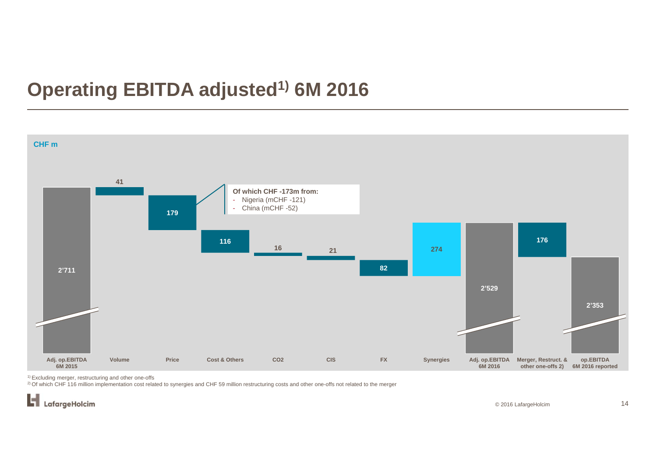# **Operating EBITDA adjusted<sup>1)</sup> 6M 2016**



<sup>1)</sup> Excluding merger, restructuring and other one-offs

<sup>2)</sup> Of which CHF 116 million implementation cost related to synergies and CHF 59 million restructuring costs and other one-offs not related to the merger

H LafargeHolcim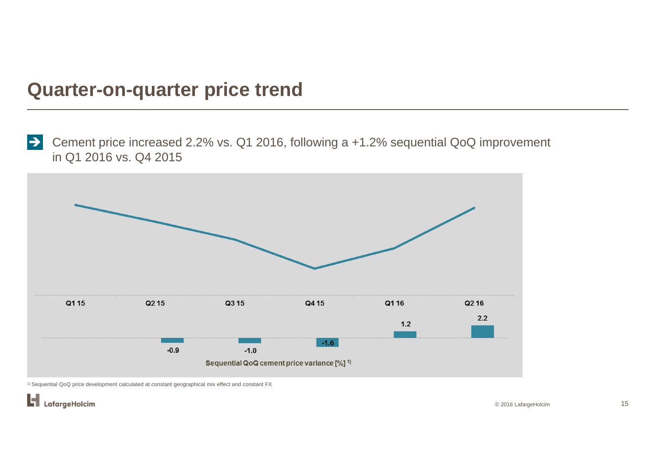#### **Quarter-on-quarter price trend**

 $\rightarrow$  Cement price increased 2.2% vs. Q1 2016, following a +1.2% sequential QoQ improvement in Q1 2016 vs. Q4 2015



1) Sequential QoQ price development calculated at constant geographical mix effect and constant FX

H LafargeHolcim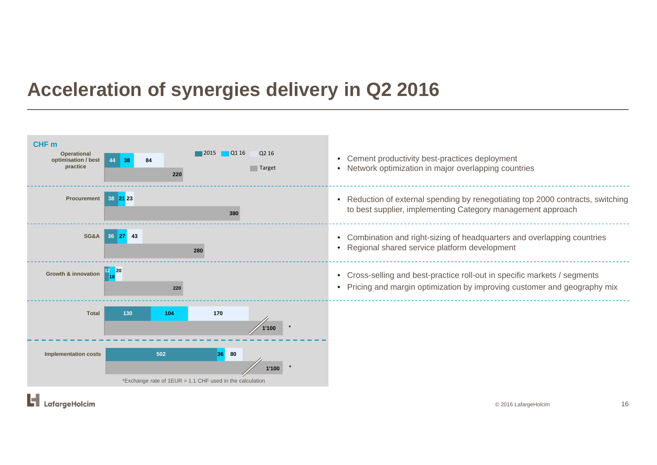# **Acceleration of synergies delivery in Q2 2016**

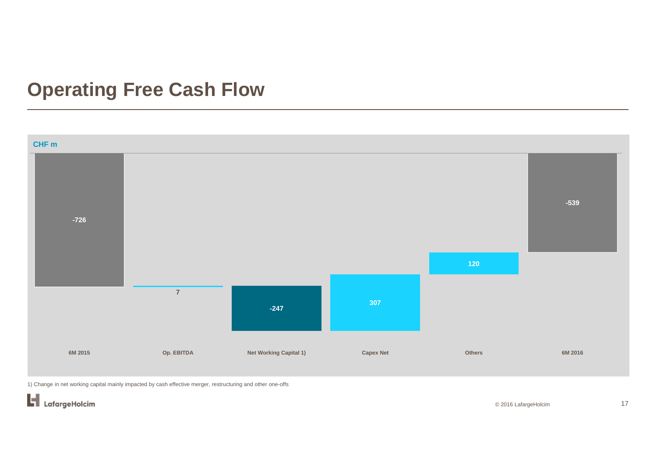## **Operating Free Cash Flow**



1) Change in net working capital mainly impacted by cash effective merger, restructuring and other one-offs

 $\Box$  LafargeHolcim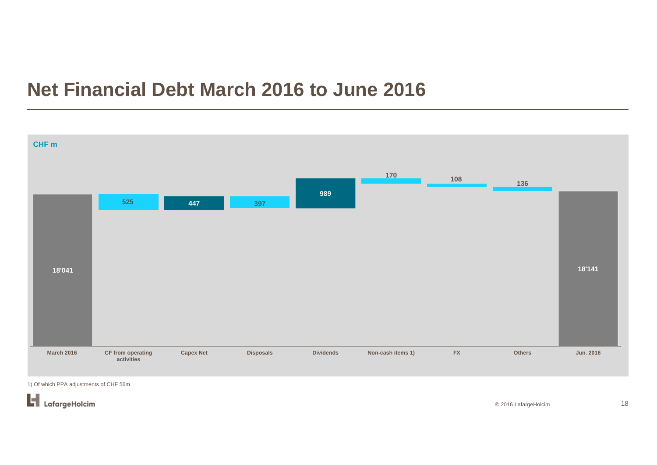## **Net Financial Debt March 2016 to June 2016**



1) Of which PPA adjustments of CHF 56m

 $\overline{\phantom{a}}$  LafargeHolcim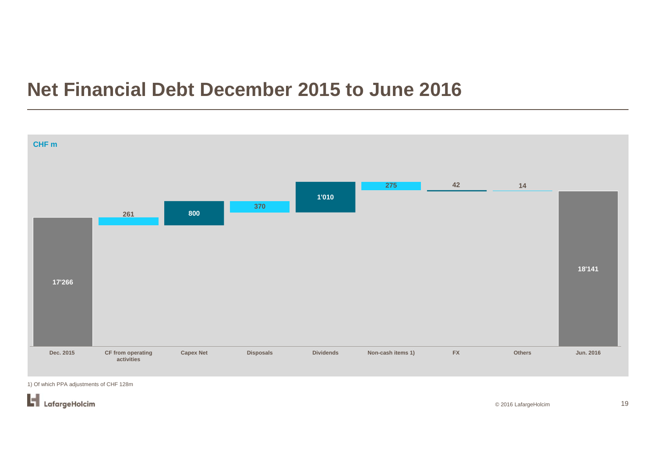## **Net Financial Debt December 2015 to June 2016**



1) Of which PPA adjustments of CHF 128m

 $\overline{\phantom{a}}$  LafargeHolcim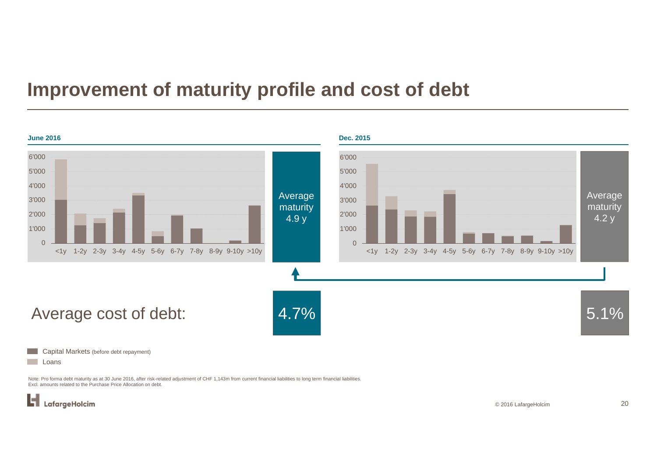#### **Improvement of maturity profile and cost of debt**



Note: Pro forma debt maturity as at 30 June 2016, after risk-related adjustment of CHF 1,143m from current financial liabilities to long term financial liabilities. Excl. amounts related to the Purchase Price Allocation on debt.

H LafargeHolcim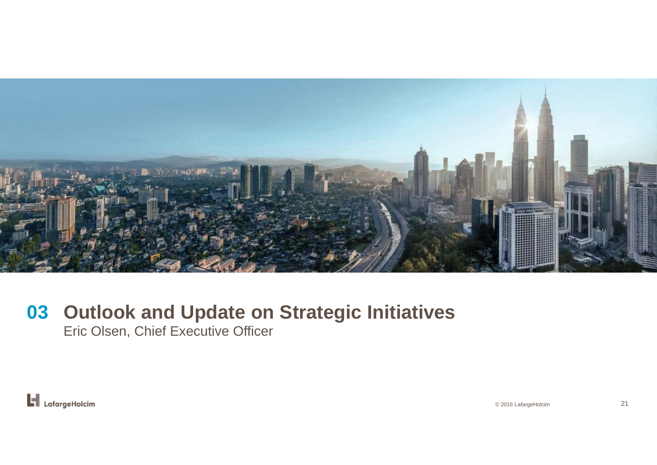

#### **Outlook and Update on Strategic Initiatives 03**

Eric Olsen, Chief Executive Officer

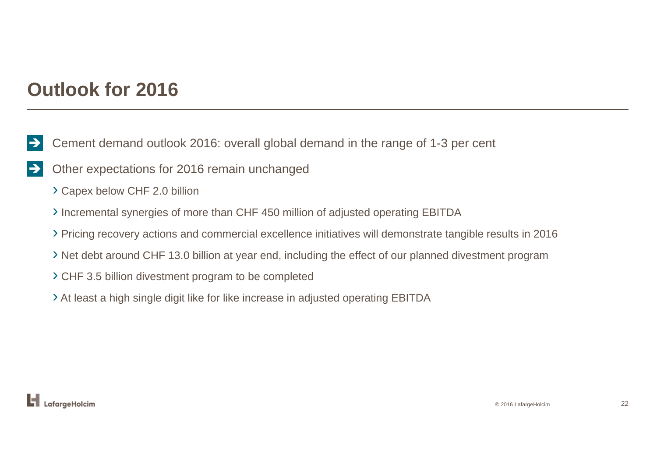# **Outlook for 2016**

 $\rightarrow$ Cement demand outlook 2016: overall global demand in the range of 1-3 per cent

- $\rightarrow$  Other expectations for 2016 remain unchanged
	- › Capex below CHF 2.0 billion
	- › Incremental synergies of more than CHF 450 million of adjusted operating EBITDA
	- › Pricing recovery actions and commercial excellence initiatives will demonstrate tangible results in 2016
	- › Net debt around CHF 13.0 billion at year end, including the effect of our planned divestment program
	- › CHF 3.5 billion divestment program to be completed
	- › At least a high single digit like for like increase in adjusted operating EBITDA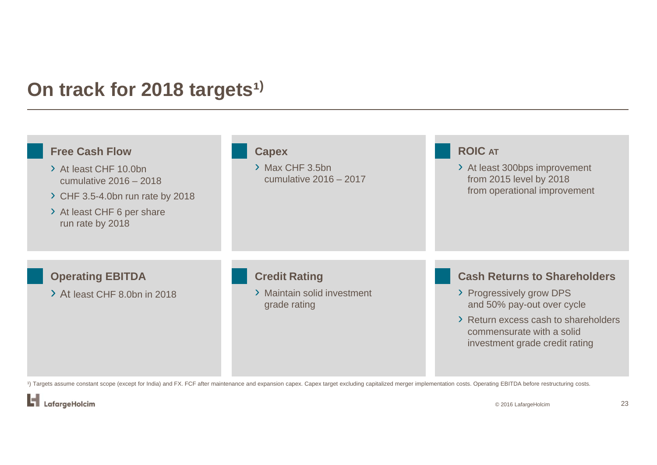#### On track for 2018 targets<sup>1)</sup>



<sup>1</sup>) Targets assume constant scope (except for India) and FX. FCF after maintenance and expansion capex. Capex target excluding capitalized merger implementation costs. Operating EBITDA before restructuring costs.

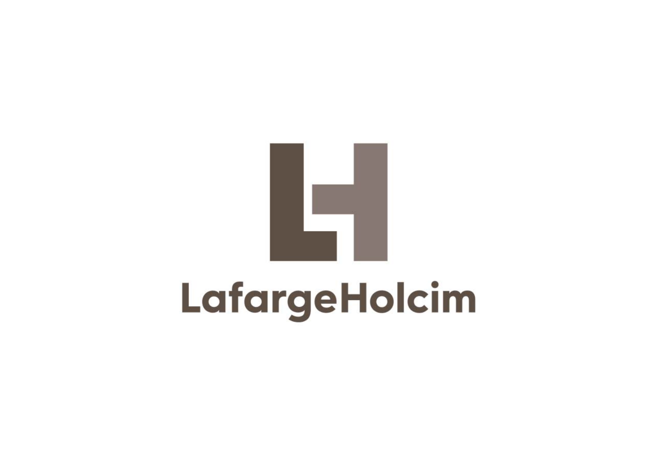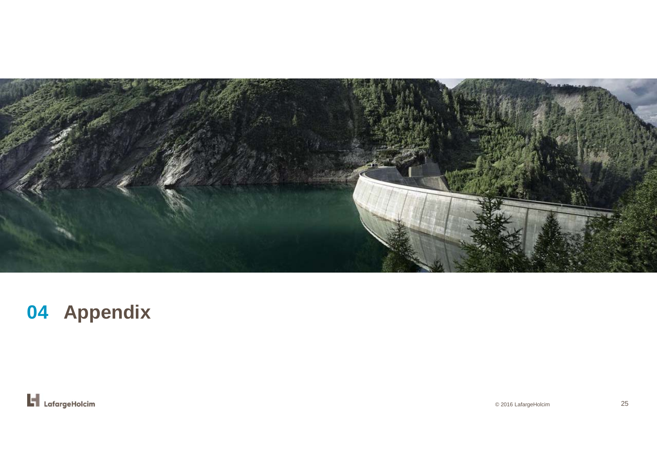

#### **04 Appendix**

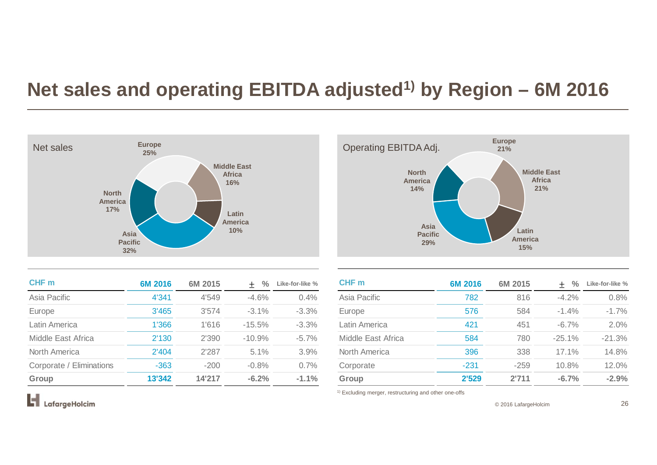# **Net sales and operating EBITDA adjusted1) by Region – 6M 2016**



| CHF m                    | 6M 2016 | 6M 2015 | $+$ %    | Like-for-like % |
|--------------------------|---------|---------|----------|-----------------|
| Asia Pacific             | 4'341   | 4'549   | $-4.6%$  | 0.4%            |
| Europe                   | 3'465   | 3'574   | $-3.1\%$ | $-3.3%$         |
| Latin America            | 1'366   | 1'616   | $-15.5%$ | $-3.3%$         |
| Middle East Africa       | 2'130   | 2'390   | $-10.9%$ | $-5.7\%$        |
| North America            | 2'404   | 2'287   | 5.1%     | 3.9%            |
| Corporate / Eliminations | $-363$  | $-200$  | $-0.8%$  | 0.7%            |
| Group                    | 13'342  | 14'217  | $-6.2%$  | $-1.1%$         |



| Like-for-like % |
|-----------------|
| 0.8%            |
| $-1.7%$         |
| 2.0%            |
| $-21.3%$        |
| 14.8%           |
| 12.0%           |
| $-2.9%$         |
|                 |

<sup>1)</sup> Excluding merger, restructuring and other one-offs

 $\left| \rule{0pt}{3.5mm} \right|$  LafargeHolcim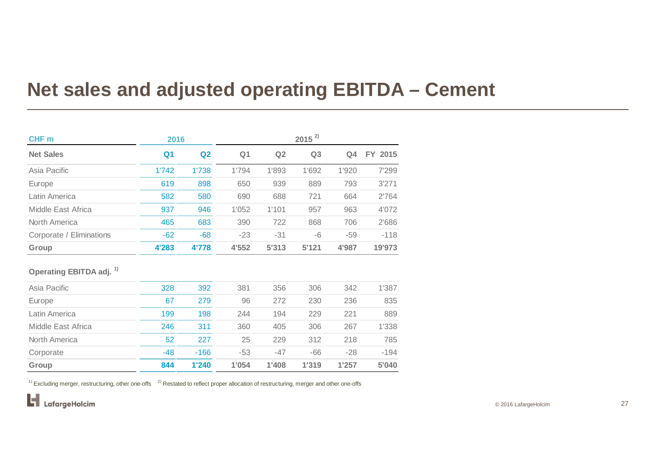#### **Net sales and adjusted operating EBITDA – Cement**

| CHF m                               | 2016           |        |                |       | $2015^{2}$ |       |             |
|-------------------------------------|----------------|--------|----------------|-------|------------|-------|-------------|
| <b>Net Sales</b>                    | Q <sub>1</sub> | Q2     | Q <sub>1</sub> | Q2    | Q3         | Q4    | FY.<br>2015 |
| Asia Pacific                        | 1'742          | 1'738  | 1'794          | 1'893 | 1'692      | 1'920 | 7'299       |
| Europe                              | 619            | 898    | 650            | 939   | 889        | 793   | 3'271       |
| Latin America                       | 582            | 580    | 690            | 688   | 721        | 664   | 2'764       |
| Middle East Africa                  | 937            | 946    | 1'052          | 1'101 | 957        | 963   | 4'072       |
| North America                       | 465            | 683    | 390            | 722   | 868        | 706   | 2'686       |
| Corporate / Eliminations            | $-62$          | $-68$  | $-23$          | $-31$ | -6         | -59   | $-118$      |
| Group                               | 4'283          | 4'778  | 4'552          | 5'313 | 5'121      | 4'987 | 19'973      |
| Operating EBITDA adj. <sup>1)</sup> |                |        |                |       |            |       |             |
| Asia Pacific                        | 328            | 392    | 381            | 356   | 306        | 342   | 1'387       |
| Europe                              | 67             | 279    | 96             | 272   | 230        | 236   | 835         |
| Latin America                       | 199            | 198    | 244            | 194   | 229        | 221   | 889         |
| Middle East Africa                  | 246            | 311    | 360            | 405   | 306        | 267   | 1'338       |
| North America                       | 52             | 227    | 25             | 229   | 312        | 218   | 785         |
| Corporate                           | $-48$          | $-166$ | $-53$          | $-47$ | -66        | $-28$ | -194        |
| Group                               | 844            | 1'240  | 1'054          | 1'408 | 1'319      | 1'257 | 5'040       |

 $1)$  Excluding merger, restructuring, other one-offs  $2)$  Restated to reflect proper allocation of restructuring, merger and other one-offs

 $\overline{\phantom{a}}$  LafargeHolcim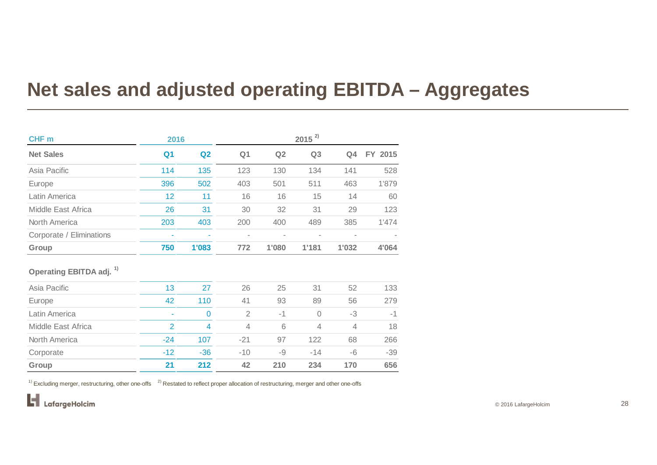## **Net sales and adjusted operating EBITDA – Aggregates**

| CHF m                               | 2016           |             |                | $2015^{2}$ |                |                |             |  |  |
|-------------------------------------|----------------|-------------|----------------|------------|----------------|----------------|-------------|--|--|
| <b>Net Sales</b>                    | Q <sub>1</sub> | Q2          | Q <sub>1</sub> | Q2         | Q <sub>3</sub> | Q4             | FY.<br>2015 |  |  |
| Asia Pacific                        | 114            | 135         | 123            | 130        | 134            | 141            | 528         |  |  |
| Europe                              | 396            | 502         | 403            | 501        | 511            | 463            | 1'879       |  |  |
| Latin America                       | 12             | 11          | 16             | 16         | 15             | 14             | 60          |  |  |
| Middle East Africa                  | 26             | 31          | 30             | 32         | 31             | 29             | 123         |  |  |
| North America                       | 203            | 403         | 200            | 400        | 489            | 385            | 1'474       |  |  |
| Corporate / Eliminations            | ۰              |             | ٠              |            |                |                |             |  |  |
| Group                               | 750            | 1'083       | 772            | 1'080      | 1'181          | 1'032          | 4'064       |  |  |
| Operating EBITDA adj. <sup>1)</sup> |                |             |                |            |                |                |             |  |  |
| Asia Pacific                        | 13             | 27          | 26             | 25         | 31             | 52             | 133         |  |  |
| Europe                              | 42             | 110         | 41             | 93         | 89             | 56             | 279         |  |  |
| Latin America                       |                | $\mathbf 0$ | 2              | $-1$       | $\Omega$       | -3             | $-1$        |  |  |
| Middle East Africa                  | $\overline{2}$ | 4           | $\overline{4}$ | 6          | $\overline{4}$ | $\overline{4}$ | 18          |  |  |
| North America                       | $-24$          | 107         | $-21$          | 97         | 122            | 68             | 266         |  |  |
| Corporate                           | $-12$          | $-36$       | $-10$          | -9         | $-14$          | $-6$           | $-39$       |  |  |
| Group                               | 21             | 212         | 42             | 210        | 234            | 170            | 656         |  |  |

 $1)$  Excluding merger, restructuring, other one-offs  $2)$  Restated to reflect proper allocation of restructuring, merger and other one-offs

 $\overline{\phantom{a}}$  LafargeHolcim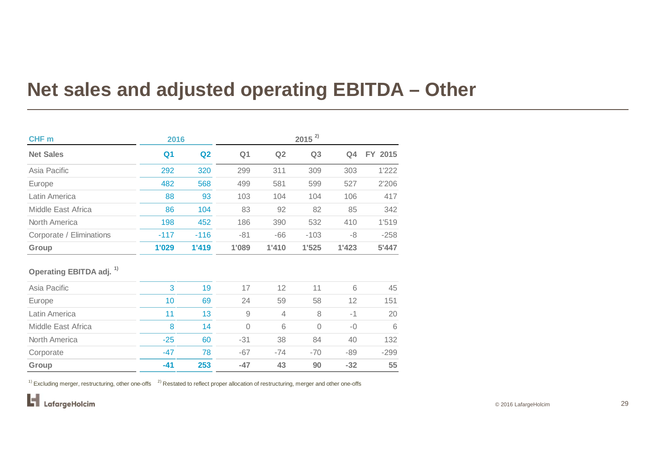### **Net sales and adjusted operating EBITDA – Other**

| CHF m                               | 2016           |                | $2015^{2}$     |                |          |       |             |
|-------------------------------------|----------------|----------------|----------------|----------------|----------|-------|-------------|
| <b>Net Sales</b>                    | Q <sub>1</sub> | Q <sub>2</sub> | Q <sub>1</sub> | Q2             | Q3       | Q4    | FY.<br>2015 |
| Asia Pacific                        | 292            | 320            | 299            | 311            | 309      | 303   | 1'222       |
| Europe                              | 482            | 568            | 499            | 581            | 599      | 527   | 2'206       |
| Latin America                       | 88             | 93             | 103            | 104            | 104      | 106   | 417         |
| Middle East Africa                  | 86             | 104            | 83             | 92             | 82       | 85    | 342         |
| North America                       | 198            | 452            | 186            | 390            | 532      | 410   | 1'519       |
| Corporate / Eliminations            | $-117$         | $-116$         | $-81$          | $-66$          | $-103$   | -8    | $-258$      |
| Group                               | 1'029          | 1'419          | 1'089          | 1'410          | 1'525    | 1'423 | 5'447       |
| Operating EBITDA adj. <sup>1)</sup> |                |                |                |                |          |       |             |
| Asia Pacific                        | 3              | 19             | 17             | 12             | 11       | 6     | 45          |
| Europe                              | 10             | 69             | 24             | 59             | 58       | 12    | 151         |
| Latin America                       | 11             | 13             | 9              | $\overline{4}$ | 8        | $-1$  | 20          |
| Middle East Africa                  | 8              | 14             | 0              | 6              | $\Omega$ | $-0$  | 6           |
| North America                       | $-25$          | 60             | $-31$          | 38             | 84       | 40    | 132         |
| Corporate                           | $-47$          | 78             | $-67$          | $-74$          | $-70$    | $-89$ | $-299$      |
| Group                               | $-41$          | 253            | $-47$          | 43             | 90       | $-32$ | 55          |

 $1)$  Excluding merger, restructuring, other one-offs  $2)$  Restated to reflect proper allocation of restructuring, merger and other one-offs

 $\overline{\phantom{a}}$  LafargeHolcim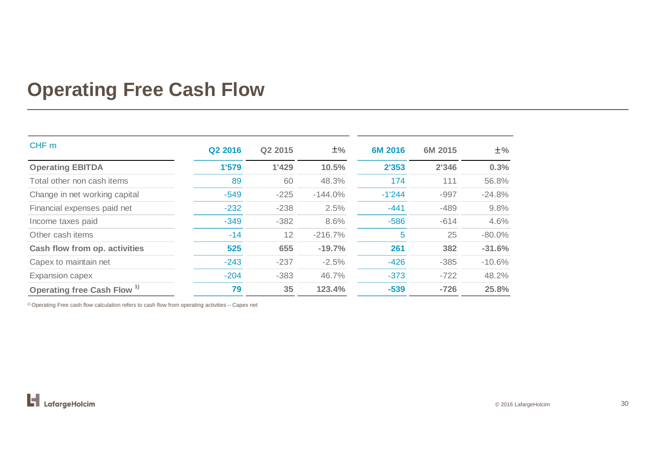### **Operating Free Cash Flow**

| CHF m                                  |         |         |           |          |         |           |
|----------------------------------------|---------|---------|-----------|----------|---------|-----------|
|                                        | Q2 2016 | Q2 2015 | $±\%$     | 6M 2016  | 6M 2015 | $\pm\%$   |
| <b>Operating EBITDA</b>                | 1'579   | 1'429   | 10.5%     | 2'353    | 2'346   | 0.3%      |
| Total other non cash items             | 89      | 60      | 48.3%     | 174      | 111     | 56.8%     |
| Change in net working capital          | $-549$  | $-225$  | $-144.0%$ | $-1'244$ | $-997$  | $-24.8%$  |
| Financial expenses paid net            | $-232$  | $-238$  | 2.5%      | $-441$   | $-489$  | 9.8%      |
| Income taxes paid                      | $-349$  | $-382$  | 8.6%      | $-586$   | $-614$  | 4.6%      |
| Other cash items                       | $-14$   | 12      | $-216.7%$ | 5        | 25      | $-80.0\%$ |
| Cash flow from op. activities          | 525     | 655     | $-19.7%$  | 261      | 382     | $-31.6%$  |
| Capex to maintain net                  | $-243$  | $-237$  | $-2.5%$   | $-426$   | $-385$  | $-10.6%$  |
| Expansion capex                        | $-204$  | $-383$  | 46.7%     | $-373$   | $-722$  | 48.2%     |
| Operating free Cash Flow <sup>1)</sup> | 79      | 35      | 123.4%    | $-539$   | $-726$  | 25.8%     |

1) Operating Free cash flow calculation refers to cash flow from operating activities – Capex net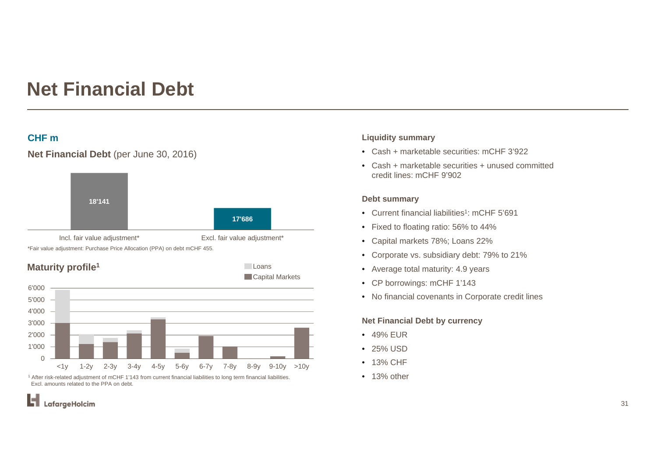# **Net Financial Debt**

#### **CHF m**



Loans

**Net Financial Debt** (per June 30, 2016)

#### **Maturity profile1**



1 After risk-related adjustment of mCHF 1'143 from current financial liabilities to long term financial liabilities. Excl. amounts related to the PPA on debt.

#### H LafargeHolcim

#### **Liquidity summary**

- Cash + marketable securities: mCHF 3'922
- Cash + marketable securities + unused committed credit lines: mCHF 9'902

#### **Debt summary**

- Current financial liabilities<sup>1</sup>: mCHF 5'691
- Fixed to floating ratio: 56% to 44%
- Capital markets 78%; Loans 22%
- Corporate vs. subsidiary debt: 79% to 21%
- Average total maturity: 4.9 years
- CP borrowings: mCHF 1'143
- No financial covenants in Corporate credit lines

#### **Net Financial Debt by currency**

- 49% EUR
- 25% USD
- 13% CHF
- 13% other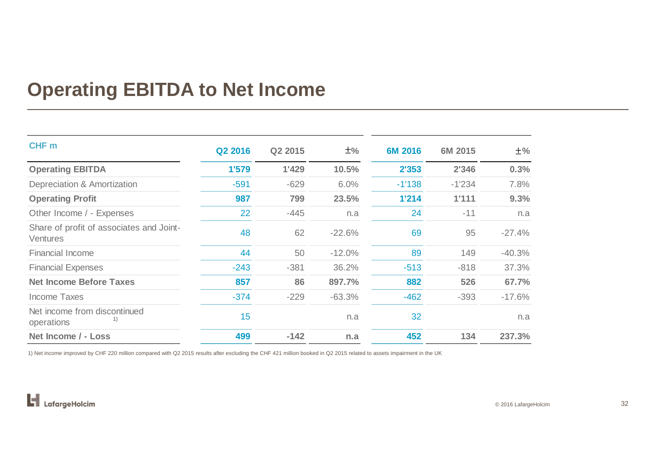## **Operating EBITDA to Net Income**

| CHF m                                                       | Q2 2016 | Q2 2015 | $\pm\%$  | 6M 2016  | 6M 2015  | $\pm\%$  |
|-------------------------------------------------------------|---------|---------|----------|----------|----------|----------|
| <b>Operating EBITDA</b>                                     | 1'579   | 1'429   | 10.5%    | 2'353    | 2'346    | 0.3%     |
| Depreciation & Amortization                                 | $-591$  | $-629$  | 6.0%     | $-1'138$ | $-1'234$ | 7.8%     |
| <b>Operating Profit</b>                                     | 987     | 799     | 23.5%    | 1'214    | 1'111    | 9.3%     |
| Other Income / - Expenses                                   | 22      | $-445$  | n.a      | 24       | $-11$    | n.a      |
| Share of profit of associates and Joint-<br><b>Ventures</b> | 48      | 62      | $-22.6%$ | 69       | 95       | $-27.4%$ |
| <b>Financial Income</b>                                     | 44      | 50      | $-12.0%$ | 89       | 149      | $-40.3%$ |
| <b>Financial Expenses</b>                                   | $-243$  | $-381$  | 36.2%    | $-513$   | $-818$   | 37.3%    |
| <b>Net Income Before Taxes</b>                              | 857     | 86      | 897.7%   | 882      | 526      | 67.7%    |
| Income Taxes                                                | $-374$  | $-229$  | $-63.3%$ | $-462$   | $-393$   | $-17.6%$ |
| Net income from discontinued<br>1)<br>operations            | 15      |         | n.a      | 32       |          | n.a      |
| Net Income / - Loss                                         | 499     | $-142$  | n.a      | 452      | 134      | 237.3%   |

1) Net income improved by CHF 220 million compared with Q2 2015 results after excluding the CHF 421 million booked in Q2 2015 related to assets impairment in the UK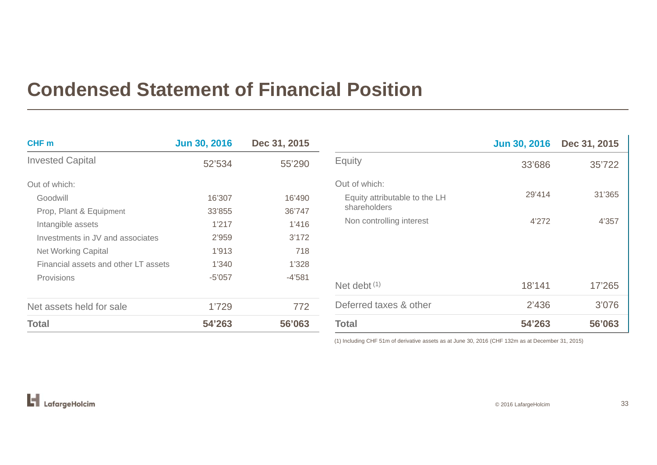#### **Condensed Statement of Financial Position**

| CHF <sub>m</sub>                     | <b>Jun 30, 2016</b> | Dec 31, 2015 |
|--------------------------------------|---------------------|--------------|
| <b>Invested Capital</b>              | 52'534              | 55'290       |
| Out of which:                        |                     |              |
| Goodwill                             | 16'307              | 16'490       |
| Prop, Plant & Equipment              | 33'855              | 36'747       |
| Intangible assets                    | 1'217               | 1'416        |
| Investments in JV and associates     | 2'959               | 3'172        |
| <b>Net Working Capital</b>           | 1'913               | 718          |
| Financial assets and other LT assets | 1'340               | 1'328        |
| Provisions                           | $-5'057$            | $-4'581$     |
| Net assets held for sale             | 1'729               | 772          |
| Total                                | 54'263              | 56'063       |

|                                               | <b>Jun 30, 2016</b> | Dec 31, 2015 |
|-----------------------------------------------|---------------------|--------------|
| Equity                                        | 33'686              | 35'722       |
| Out of which:                                 |                     |              |
| Equity attributable to the LH<br>shareholders | 29'414              | 31'365       |
| Non controlling interest                      | 4'272               | 4'357        |
| Net debt $(1)$                                | 18'141              | 17'265       |
|                                               |                     |              |
| Deferred taxes & other                        | 2'436               | 3'076        |
| Total                                         | 54'263              | 56'063       |

(1) Including CHF 51m of derivative assets as at June 30, 2016 (CHF 132m as at December 31, 2015)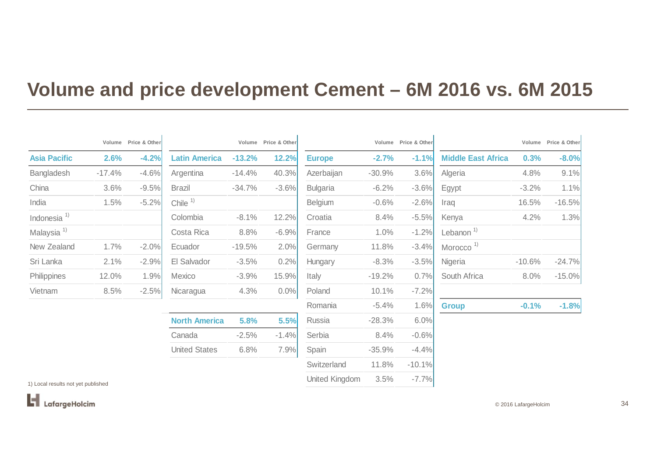#### **Volume and price development Cement – 6M 2016 vs. 6M 2015**

|                                    |          | Volume Price & Other |                      |          | Volume Price & Other |                 |          | Volume Price & Other |                           |          | Volume Price & Other |
|------------------------------------|----------|----------------------|----------------------|----------|----------------------|-----------------|----------|----------------------|---------------------------|----------|----------------------|
| <b>Asia Pacific</b>                | 2.6%     | $-4.2%$              | <b>Latin America</b> | $-13.2%$ | 12.2%                | <b>Europe</b>   | $-2.7%$  | $-1.1%$              | <b>Middle East Africa</b> | 0.3%     | $-8.0%$              |
| Bangladesh                         | $-17.4%$ | $-4.6%$              | Argentina            | $-14.4%$ | 40.3%                | Azerbaijan      | $-30.9%$ | 3.6%                 | Algeria                   | 4.8%     | 9.1%                 |
| China                              | 3.6%     | $-9.5%$              | <b>Brazil</b>        | $-34.7%$ | $-3.6%$              | <b>Bulgaria</b> | $-6.2\%$ | $-3.6%$              | Egypt                     | $-3.2%$  | 1.1%                 |
| India                              | 1.5%     | $-5.2%$              | Chile $1$            |          |                      | Belgium         | $-0.6%$  | $-2.6%$              | Iraq                      | 16.5%    | $-16.5%$             |
| Indonesia $1$                      |          |                      | Colombia             | $-8.1%$  | 12.2%                | Croatia         | 8.4%     | $-5.5%$              | Kenya                     | 4.2%     | 1.3%                 |
| Malaysia <sup>1)</sup>             |          |                      | Costa Rica           | 8.8%     | $-6.9%$              | France          | 1.0%     | $-1.2%$              | Lebanon <sup>1)</sup>     |          |                      |
| New Zealand                        | 1.7%     | $-2.0%$              | Ecuador              | $-19.5%$ | 2.0%                 | Germany         | 11.8%    | $-3.4%$              | Morocco <sup>1)</sup>     |          |                      |
| Sri Lanka                          | 2.1%     | $-2.9%$              | El Salvador          | $-3.5%$  | 0.2%                 | Hungary         | $-8.3%$  | $-3.5%$              | Nigeria                   | $-10.6%$ | $-24.7%$             |
| Philippines                        | 12.0%    | 1.9%                 | Mexico               | $-3.9%$  | 15.9%                | Italy           | $-19.2%$ | 0.7%                 | South Africa              | 8.0%     | $-15.0\%$            |
| Vietnam                            | 8.5%     | $-2.5%$              | Nicaragua            | 4.3%     | 0.0%                 | Poland          | 10.1%    | $-7.2%$              |                           |          |                      |
|                                    |          |                      |                      |          |                      | Romania         | $-5.4%$  | 1.6%                 | <b>Group</b>              | $-0.1%$  | $-1.8%$              |
|                                    |          |                      | <b>North America</b> | 5.8%     | 5.5%                 | Russia          | $-28.3%$ | 6.0%                 |                           |          |                      |
|                                    |          |                      | Canada               | $-2.5%$  | $-1.4%$              | Serbia          | 8.4%     | $-0.6%$              |                           |          |                      |
|                                    |          |                      | <b>United States</b> | 6.8%     | 7.9%                 | Spain           | $-35.9%$ | $-4.4%$              |                           |          |                      |
|                                    |          |                      |                      |          |                      | Switzerland     | 11.8%    | $-10.1%$             |                           |          |                      |
| 1) Local results not yet published |          |                      |                      |          |                      | United Kingdom  | 3.5%     | $-7.7%$              |                           |          |                      |

LafargeHolcim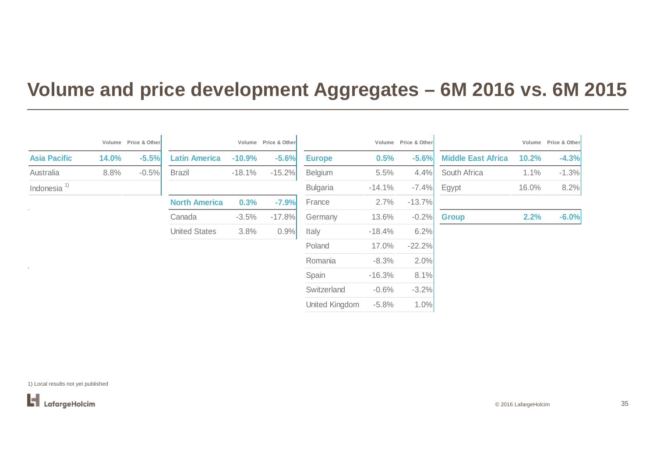## **Volume and price development Aggregates – 6M 2016 vs. 6M 2015**

|                         |       | Volume Price & Other |                      |          | Volume Price & Other |                 |          | Volume Price & Other |                           |       | Volume Price & Other |
|-------------------------|-------|----------------------|----------------------|----------|----------------------|-----------------|----------|----------------------|---------------------------|-------|----------------------|
| <b>Asia Pacific</b>     | 14.0% | $-5.5%$              | <b>Latin America</b> | $-10.9%$ | $-5.6%$              | <b>Europe</b>   | 0.5%     | $-5.6%$              | <b>Middle East Africa</b> | 10.2% | $-4.3%$              |
| Australia               | 8.8%  | $-0.5%$              | <b>Brazil</b>        | $-18.1%$ | $-15.2%$             | Belgium         | 5.5%     | 4.4%                 | South Africa              | 1.1%  | $-1.3%$              |
| Indonesia <sup>1)</sup> |       |                      |                      |          |                      | <b>Bulgaria</b> | $-14.1%$ | $-7.4%$              | Egypt                     | 16.0% | 8.2%                 |
|                         |       |                      | <b>North America</b> | 0.3%     | $-7.9%$              | France          | 2.7%     | $-13.7%$             |                           |       |                      |
|                         |       |                      | Canada               | $-3.5%$  | $-17.8%$             | Germany         | 13.6%    | $-0.2%$              | <b>Group</b>              | 2.2%  | $-6.0%$              |
|                         |       |                      | <b>United States</b> | 3.8%     | 0.9%                 | Italy           | $-18.4%$ | 6.2%                 |                           |       |                      |
|                         |       |                      |                      |          |                      | Poland          | 17.0%    | $-22.2%$             |                           |       |                      |
|                         |       |                      |                      |          |                      | Romania         | $-8.3%$  | 2.0%                 |                           |       |                      |
|                         |       |                      |                      |          |                      | Spain           | $-16.3%$ | 8.1%                 |                           |       |                      |
|                         |       |                      |                      |          |                      | Switzerland     | $-0.6%$  | $-3.2%$              |                           |       |                      |
|                         |       |                      |                      |          |                      | United Kingdom  | $-5.8%$  | 1.0%                 |                           |       |                      |

1) Local results not yet published

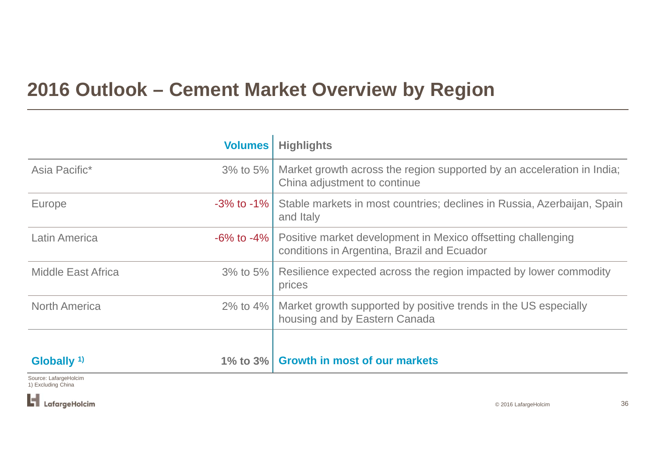# **2016 Outlook – Cement Market Overview by Region**

|                           | <b>Volumes</b> | <b>Highlights</b>                                                                                                        |
|---------------------------|----------------|--------------------------------------------------------------------------------------------------------------------------|
| Asia Pacific*             | 3% to 5%       | Market growth across the region supported by an acceleration in India;<br>China adjustment to continue                   |
| Europe                    |                | -3% to -1%   Stable markets in most countries; declines in Russia, Azerbaijan, Spain<br>and Italy                        |
| <b>Latin America</b>      |                | -6% to -4%   Positive market development in Mexico offsetting challenging<br>conditions in Argentina, Brazil and Ecuador |
| <b>Middle East Africa</b> |                | 3% to 5%   Resilience expected across the region impacted by lower commodity<br>prices                                   |
| <b>North America</b>      |                | 2% to 4%   Market growth supported by positive trends in the US especially<br>housing and by Eastern Canada              |
|                           |                |                                                                                                                          |
| Globally <sup>1)</sup>    | 1% to 3%       | <b>Growth in most of our markets</b>                                                                                     |
| Source: LafargeHolcim     |                |                                                                                                                          |

1) Excluding China

 $\overline{\phantom{a}}$  LafargeHolcim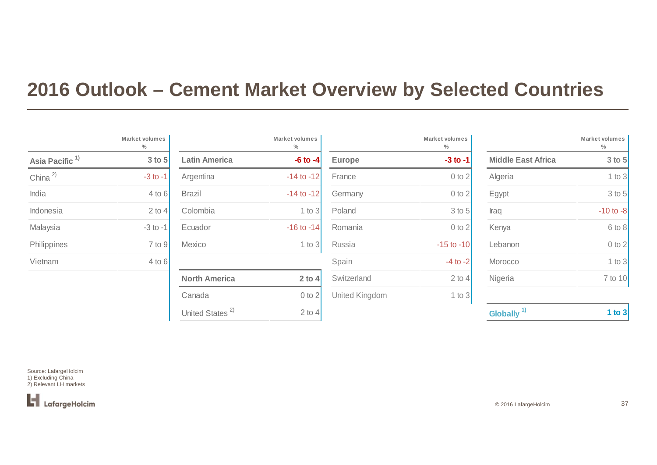#### **2016 Outlook – Cement Market Overview by Selected Countries**

|                            | Market volumes<br>$\frac{0}{0}$ |                      | Market volumes<br>$\%$ |                | Market volumes<br>$\%$ |                           | Market volumes<br>$\%$ |
|----------------------------|---------------------------------|----------------------|------------------------|----------------|------------------------|---------------------------|------------------------|
| Asia Pacific <sup>1)</sup> | $3$ to $5$                      | <b>Latin America</b> | $-6$ to $-4$           | <b>Europe</b>  | $-3$ to $-1$           | <b>Middle East Africa</b> | 3 to 5                 |
| China $^{2)}$              | $-3$ to $-1$                    | Argentina            | $-14$ to $-12$         | France         | $0$ to $2$             | Algeria                   | 1 to $3$               |
| India                      | 4 to $6$                        | <b>Brazil</b>        | $-14$ to $-12$         | Germany        | $0$ to $2$             | Egypt                     | 3 to 5                 |
| Indonesia                  | 2 to 4                          | Colombia             | $1$ to $3$             | Poland         | $3$ to $5$             | Iraq                      | $-10$ to $-8$          |
| Malaysia                   | $-3$ to $-1$                    | Ecuador              | $-16$ to $-14$         | Romania        | $0$ to $2$             | Kenya                     | 6 to 8                 |
| Philippines                | $7$ to $9$                      | Mexico               | $1$ to $3$             | Russia         | $-15$ to $-10$         | Lebanon                   | $0$ to $2$             |
| Vietnam                    | $4$ to 6                        |                      |                        | Spain          | $-4$ to $-2$           | Morocco                   | 1 to 3                 |
|                            |                                 | <b>North America</b> | $2$ to $4$             | Switzerland    | $2$ to 4               | Nigeria                   | 7 to 10                |
|                            |                                 | Canada               | $0$ to $2$             | United Kingdom | 1 to $3$               |                           |                        |

United States  $2$  **1 1** 

Source: LafargeHolcim 1) Excluding China 2) Relevant LH markets

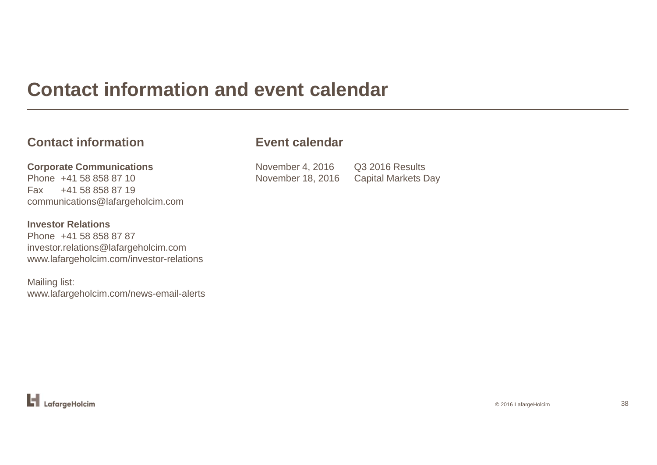#### **Contact information and event calendar**

#### **Contact information**

**Corporate Communications** Phone +41 58 858 87 10Fax +41 58 858 87 19communications@lafargeholcim.com

#### **Investor Relations**

Phone +41 58 858 87 87investor.relations@lafargeholcim.com www.lafargeholcim.com/investor-relations

Mailing list: www.lafargeholcim.com/news-email-alerts

#### **Event calendar**

November 4, 2016 Q3 2016 Results November 18, 2016 Capital Markets Day

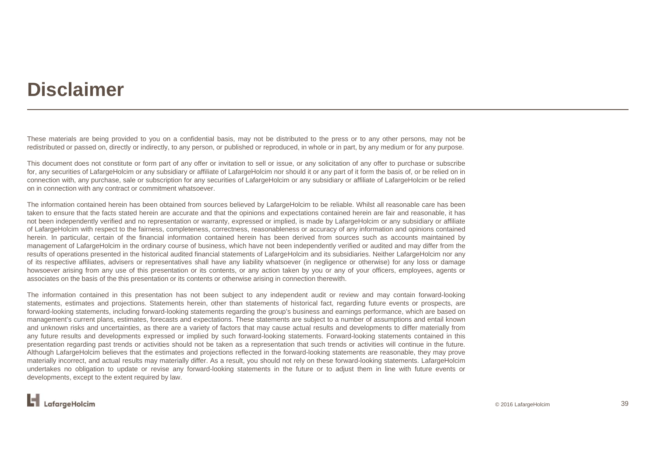## **Disclaimer**

These materials are being provided to you on <sup>a</sup> confidential basis, may not be distributed to the press or to any other persons, may not be redistributed or passed on, directly or indirectly, to any person, or published or reproduced, in whole or in part, by any medium or for any purpose.

This document does not constitute or form part of any offer or invitation to sell or issue, or any solicitation of any offer to purchase or subscribe for, any securities of LafargeHolcim or any subsidiary or affiliate of LafargeHolcim nor should it or any part of it form the basis of, or be relied on in connection with, any purchase, sale or subscription for any securities of LafargeHolcim or any subsidiary or affiliate of LafargeHolcim or be relied on in connection with any contract or commitment whatsoever.

The information contained herein has been obtained from sources believed by LafargeHolcim to be reliable. Whilst all reasonable care has been taken to ensure that the facts stated herein are accurate and that the opinions and expectations contained herein are fair and reasonable, it has not been independently verified and no representation or warranty, expressed or implied, is made by LafargeHolcim or any subsidiary or affiliate of LafargeHolcim with respect to the fairness, completeness, correctness, reasonableness or accuracy of any information and opinions contained herein. In particular, certain of the financial information contained herein has been derived from sources such as accounts maintained by management of LafargeHolcim in the ordinary course of business, which have not been independently verified or audited and may differ from the results of operations presented in the historical audited financial statements of LafargeHolcim and its subsidiaries. Neither LafargeHolcim nor any of its respective affiliates, advisers or representatives shall have any liability whatsoever (in negligence or otherwise) for any loss or damage howsoever arising from any use of this presentation or its contents, or any action taken by you or any of your officers, employees, agents or associates on the basis of the this presentation or its contents or otherwise arising in connection therewith.

The information contained in this presentation has not been subject to any independent audit or review and may contain forward-looking statements, estimates and projections. Statements herein, other than statements of historical fact, regarding future events or prospects, are forward-looking statements, including forward-looking statements regarding the group's business and earnings performance, which are based on management's current plans, estimates, forecasts and expectations. These statements are subject to <sup>a</sup> number of assumptions and entail known and unknown risks and uncertainties, as there are <sup>a</sup> variety of factors that may cause actual results and developments to differ materially from any future results and developments expressed or implied by such forward-looking statements. Forward-looking statements contained in this presentation regarding past trends or activities should not be taken as <sup>a</sup> representation that such trends or activities will continue in the future. Although LafargeHolcim believes that the estimates and projections reflected in the forward-looking statements are reasonable, they may prove materially incorrect, and actual results may materially differ. As <sup>a</sup> result, you should not rely on these forward-looking statements. LafargeHolcim undertakes no obligation to update or revise any forward-looking statements in the future or to adjust them in line with future events or developments, except to the extent required by law.